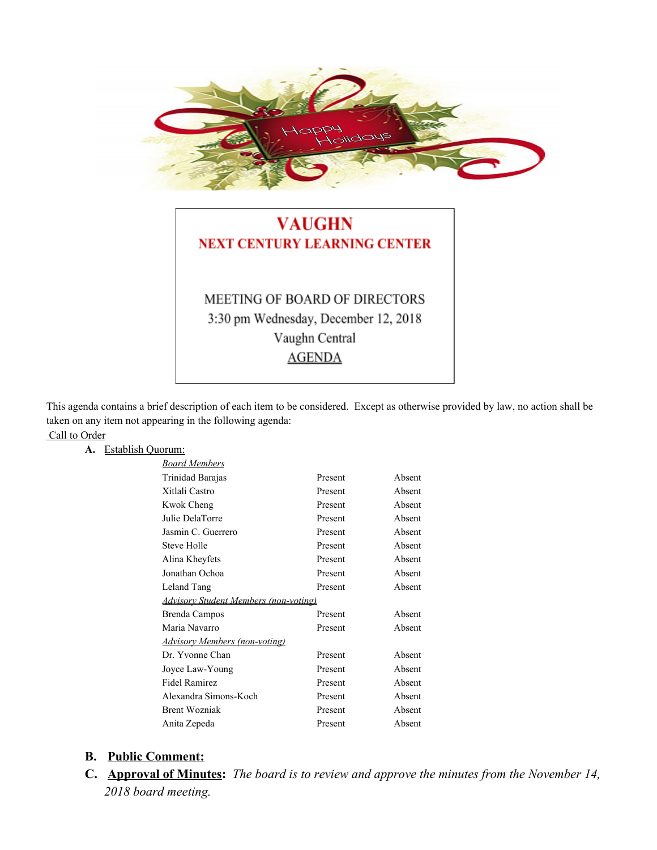

## **VAUGHN NEXT CENTURY LEARNING CENTER**

# MEETING OF BOARD OF DIRECTORS 3:30 pm Wednesday, December 12, 2018 Vaughn Central **AGENDA**

This agenda contains a brief description of each item to be considered. Except as otherwise provided by law, no action shall be taken on any item not appearing in the following agenda: Call to Order

#### **A.** Establish Quorum:

| Present | Absent                                |
|---------|---------------------------------------|
| Present | Absent                                |
| Present | Absent                                |
| Present | Absent                                |
| Present | Absent                                |
| Present | Absent                                |
| Present | Absent                                |
| Present | Absent                                |
| Present | Absent                                |
|         |                                       |
| Present | Absent                                |
| Present | Absent                                |
|         |                                       |
| Present | Absent                                |
| Present | Absent                                |
| Present | Absent                                |
| Present | Absent                                |
| Present | Absent                                |
| Present | Absent                                |
|         | Advisory Student Members (non-voting) |

#### **B. Public Comment:**

**C. Approval of Minutes:** *The board is to review and approve the minutes from the November 14, 2018 board meeting.*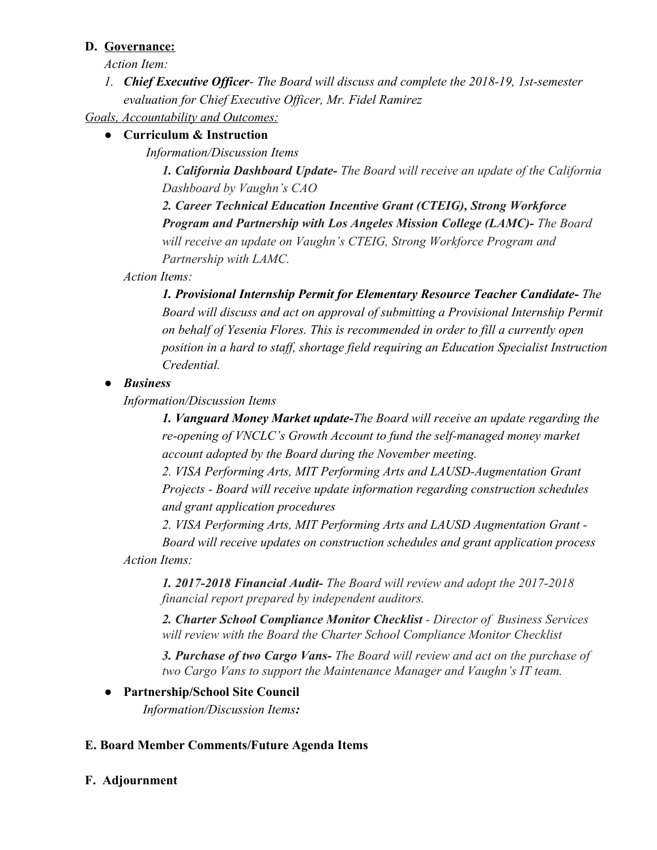#### **D. Governance:**

*Action Item:*

*1. Chief Executive Officer- The Board will discuss and complete the 2018-19, 1st-semester evaluation for Chief Executive Officer, Mr. Fidel Ramirez*

*Goals, Accountability and Outcomes:*

## **● Curriculum & Instruction**

*Information/Discussion Items*

*1. California Dashboard Update- The Board will receive an update of the California Dashboard by Vaughn's CAO*

*2. Career Technical Education Incentive Grant (CTEIG), Strong Workforce Program and Partnership with Los Angeles Mission College (LAMC)- The Board will receive an update on Vaughn's CTEIG, Strong Workforce Program and Partnership with LAMC.*

*Action Items:*

*1. Provisional Internship Permit for Elementary Resource Teacher Candidate- The Board will discuss and act on approval of submitting a Provisional Internship Permit on behalf of Yesenia Flores. This is recommended in order to fill a currently open position in a hard to staff, shortage field requiring an Education Specialist Instruction Credential.*

## *● Business*

*Information/Discussion Items*

*1. Vanguard Money Market update-The Board will receive an update regarding the re-opening of VNCLC's Growth Account to fund the self-managed money market account adopted by the Board during the November meeting.*

*2. VISA Performing Arts, MIT Performing Arts and LAUSD-Augmentation Grant Projects - Board will receive update information regarding construction schedules and grant application procedures*

*2. VISA Performing Arts, MIT Performing Arts and LAUSD Augmentation Grant - Board will receive updates on construction schedules and grant application process*

*Action Items:*

*1. 2017-2018 Financial Audit- The Board will review and adopt the 2017-2018 financial report prepared by independent auditors.*

*2. Charter School Compliance Monitor Checklist - Director of Business Services will review with the Board the Charter School Compliance Monitor Checklist*

*3. Purchase of two Cargo Vans- The Board will review and act on the purchase of two Cargo Vans to support the Maintenance Manager and Vaughn's IT team.*

### **● Partnership/School Site Council**

 *Information/Discussion Items:*

### **E. Board Member Comments/Future Agenda Items**

**F. Adjournment**